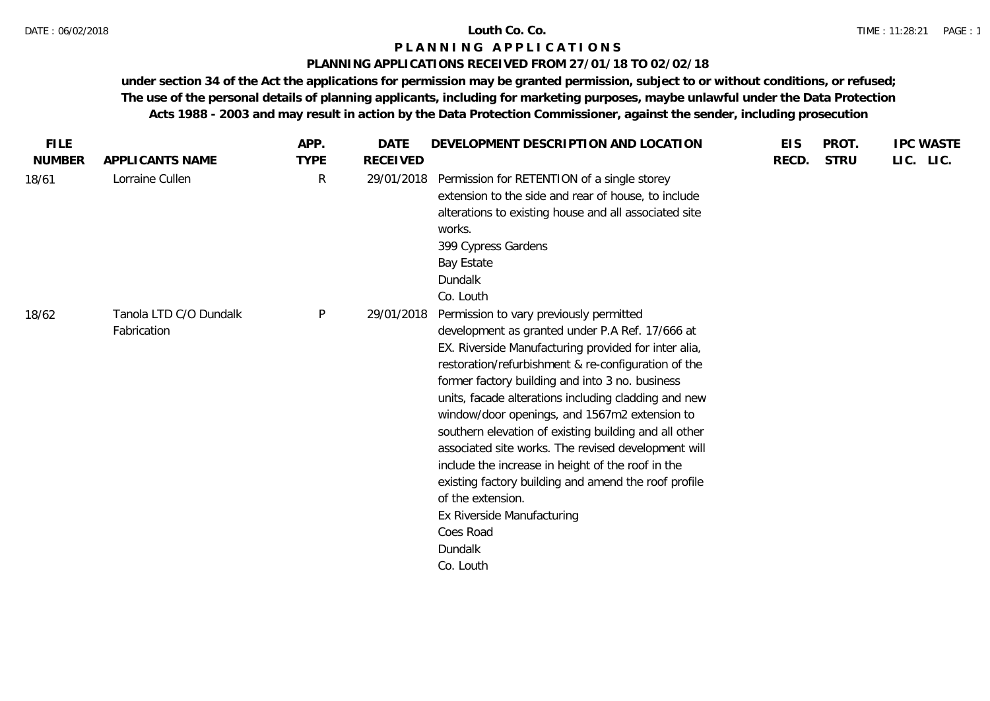### **PLANNING APPLICATIONS RECEIVED FROM 27/01/18 TO 02/02/18**

| <b>FILE</b>   |                                       | APP.         | DATE            | DEVELOPMENT DESCRIPTION AND LOCATION                                                                                                                                                                                                                                                                                                                                                                                                                                                                                                                                                                                                                                                       | <b>EIS</b> | PROT.       | <b>IPC WASTE</b> |
|---------------|---------------------------------------|--------------|-----------------|--------------------------------------------------------------------------------------------------------------------------------------------------------------------------------------------------------------------------------------------------------------------------------------------------------------------------------------------------------------------------------------------------------------------------------------------------------------------------------------------------------------------------------------------------------------------------------------------------------------------------------------------------------------------------------------------|------------|-------------|------------------|
| <b>NUMBER</b> | <b>APPLICANTS NAME</b>                | <b>TYPE</b>  | <b>RECEIVED</b> |                                                                                                                                                                                                                                                                                                                                                                                                                                                                                                                                                                                                                                                                                            | RECD.      | <b>STRU</b> | LIC. LIC.        |
| 18/61         | Lorraine Cullen                       | $\mathsf{R}$ | 29/01/2018      | Permission for RETENTION of a single storey<br>extension to the side and rear of house, to include<br>alterations to existing house and all associated site<br>works.<br>399 Cypress Gardens<br>Bay Estate<br><b>Dundalk</b><br>Co. Louth                                                                                                                                                                                                                                                                                                                                                                                                                                                  |            |             |                  |
| 18/62         | Tanola LTD C/O Dundalk<br>Fabrication | P            | 29/01/2018      | Permission to vary previously permitted<br>development as granted under P.A Ref. 17/666 at<br>EX. Riverside Manufacturing provided for inter alia,<br>restoration/refurbishment & re-configuration of the<br>former factory building and into 3 no. business<br>units, facade alterations including cladding and new<br>window/door openings, and 1567m2 extension to<br>southern elevation of existing building and all other<br>associated site works. The revised development will<br>include the increase in height of the roof in the<br>existing factory building and amend the roof profile<br>of the extension.<br>Ex Riverside Manufacturing<br>Coes Road<br>Dundalk<br>Co. Louth |            |             |                  |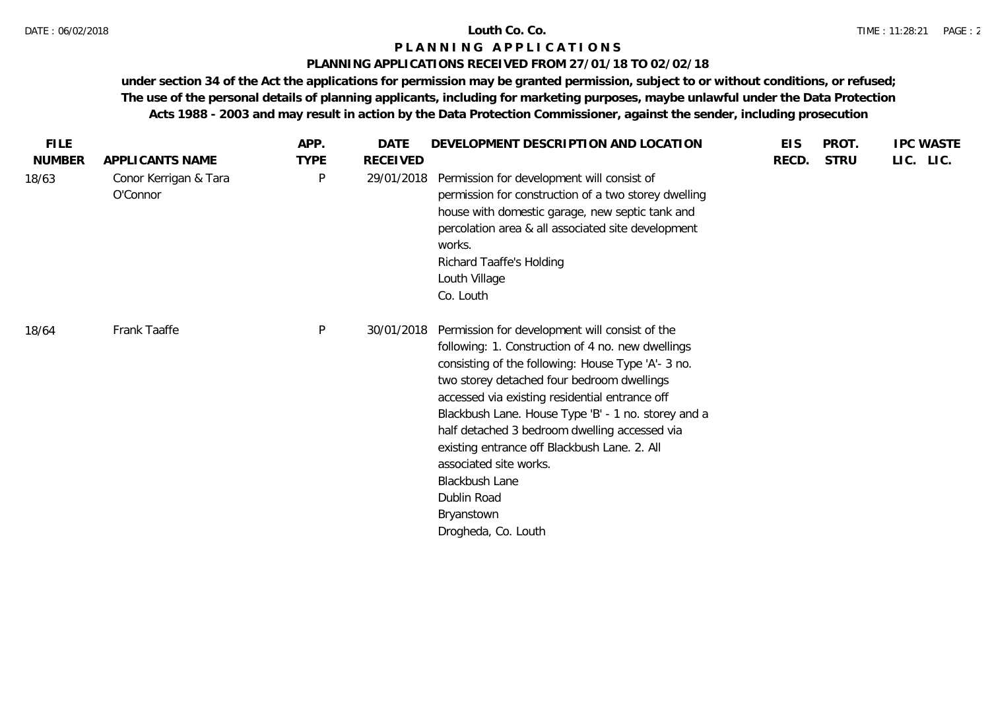### **PLANNING APPLICATIONS RECEIVED FROM 27/01/18 TO 02/02/18**

| <b>FILE</b>   |                                   | APP.         | <b>DATE</b> | DEVELOPMENT DESCRIPTION AND LOCATION                                                                                                                                                                                                                                                                                                                                                                                                                                                                              | <b>EIS</b> | PROT.       | <b>IPC WASTE</b> |
|---------------|-----------------------------------|--------------|-------------|-------------------------------------------------------------------------------------------------------------------------------------------------------------------------------------------------------------------------------------------------------------------------------------------------------------------------------------------------------------------------------------------------------------------------------------------------------------------------------------------------------------------|------------|-------------|------------------|
| <b>NUMBER</b> | APPLICANTS NAME                   | <b>TYPE</b>  | RECEIVED    |                                                                                                                                                                                                                                                                                                                                                                                                                                                                                                                   | RECD.      | <b>STRU</b> | LIC. LIC.        |
| 18/63         | Conor Kerrigan & Tara<br>O'Connor | P            | 29/01/2018  | Permission for development will consist of<br>permission for construction of a two storey dwelling<br>house with domestic garage, new septic tank and<br>percolation area & all associated site development<br>works.<br>Richard Taaffe's Holding<br>Louth Village<br>Co. Louth                                                                                                                                                                                                                                   |            |             |                  |
| 18/64         | Frank Taaffe                      | $\mathsf{P}$ | 30/01/2018  | Permission for development will consist of the<br>following: 1. Construction of 4 no. new dwellings<br>consisting of the following: House Type 'A'- 3 no.<br>two storey detached four bedroom dwellings<br>accessed via existing residential entrance off<br>Blackbush Lane. House Type 'B' - 1 no. storey and a<br>half detached 3 bedroom dwelling accessed via<br>existing entrance off Blackbush Lane. 2. All<br>associated site works.<br>Blackbush Lane<br>Dublin Road<br>Bryanstown<br>Drogheda, Co. Louth |            |             |                  |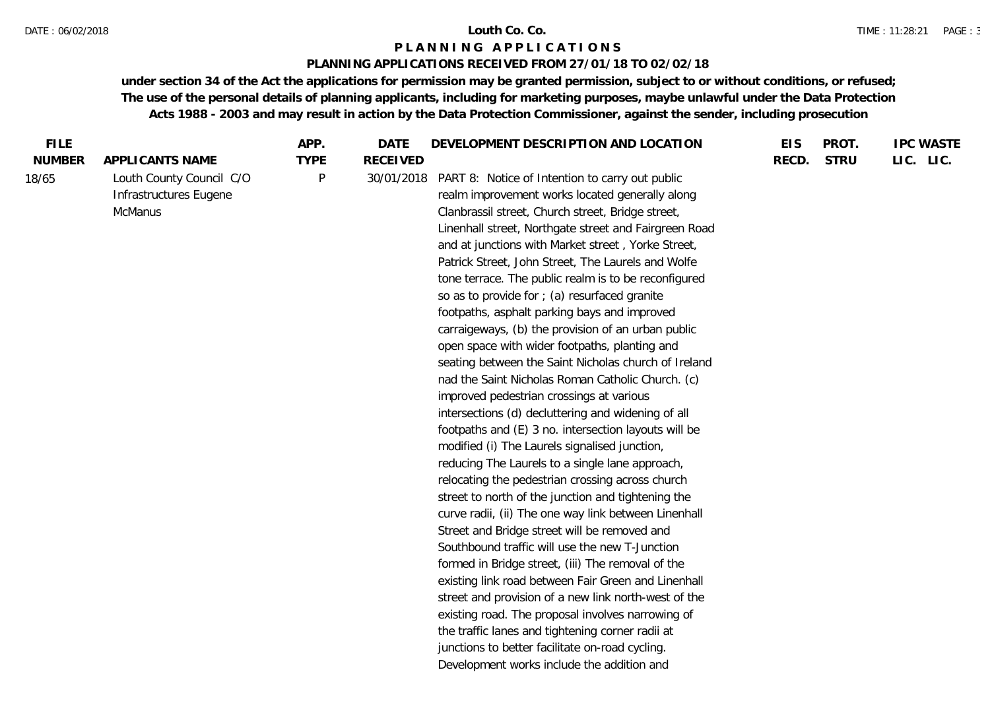#### DATE : 06/02/2018 **Louth Co. Co.**

#### **P L A N N I N G A P P L I C A T I O N S**

### **PLANNING APPLICATIONS RECEIVED FROM 27/01/18 TO 02/02/18**

| <b>STRU</b><br>LIC. LIC.<br><b>NUMBER</b><br>APPLICANTS NAME<br><b>TYPE</b><br><b>RECEIVED</b><br>RECD.<br>Louth County Council C/O<br>P<br>18/65<br>30/01/2018<br>PART 8: Notice of Intention to carry out public<br>Infrastructures Eugene<br>realm improvement works located generally along<br>McManus<br>Clanbrassil street, Church street, Bridge street,<br>Linenhall street, Northgate street and Fairgreen Road<br>and at junctions with Market street, Yorke Street,<br>Patrick Street, John Street, The Laurels and Wolfe<br>tone terrace. The public realm is to be reconfigured<br>so as to provide for ; (a) resurfaced granite<br>footpaths, asphalt parking bays and improved<br>carraigeways, (b) the provision of an urban public<br>open space with wider footpaths, planting and<br>seating between the Saint Nicholas church of Ireland<br>nad the Saint Nicholas Roman Catholic Church. (c)<br>improved pedestrian crossings at various<br>intersections (d) decluttering and widening of all<br>footpaths and (E) 3 no. intersection layouts will be<br>modified (i) The Laurels signalised junction,<br>reducing The Laurels to a single lane approach,<br>relocating the pedestrian crossing across church<br>street to north of the junction and tightening the<br>curve radii, (ii) The one way link between Linenhall<br>Street and Bridge street will be removed and<br>Southbound traffic will use the new T-Junction<br>formed in Bridge street, (iii) The removal of the<br>existing link road between Fair Green and Linenhall<br>street and provision of a new link north-west of the<br>existing road. The proposal involves narrowing of<br>the traffic lanes and tightening corner radii at<br>junctions to better facilitate on-road cycling.<br>Development works include the addition and | <b>FILE</b> | APP. | <b>DATE</b> | DEVELOPMENT DESCRIPTION AND LOCATION | <b>EIS</b> | PROT. | <b>IPC WASTE</b> |
|-----------------------------------------------------------------------------------------------------------------------------------------------------------------------------------------------------------------------------------------------------------------------------------------------------------------------------------------------------------------------------------------------------------------------------------------------------------------------------------------------------------------------------------------------------------------------------------------------------------------------------------------------------------------------------------------------------------------------------------------------------------------------------------------------------------------------------------------------------------------------------------------------------------------------------------------------------------------------------------------------------------------------------------------------------------------------------------------------------------------------------------------------------------------------------------------------------------------------------------------------------------------------------------------------------------------------------------------------------------------------------------------------------------------------------------------------------------------------------------------------------------------------------------------------------------------------------------------------------------------------------------------------------------------------------------------------------------------------------------------------------------------------------------------------------------------------------------|-------------|------|-------------|--------------------------------------|------------|-------|------------------|
|                                                                                                                                                                                                                                                                                                                                                                                                                                                                                                                                                                                                                                                                                                                                                                                                                                                                                                                                                                                                                                                                                                                                                                                                                                                                                                                                                                                                                                                                                                                                                                                                                                                                                                                                                                                                                                   |             |      |             |                                      |            |       |                  |
|                                                                                                                                                                                                                                                                                                                                                                                                                                                                                                                                                                                                                                                                                                                                                                                                                                                                                                                                                                                                                                                                                                                                                                                                                                                                                                                                                                                                                                                                                                                                                                                                                                                                                                                                                                                                                                   |             |      |             |                                      |            |       |                  |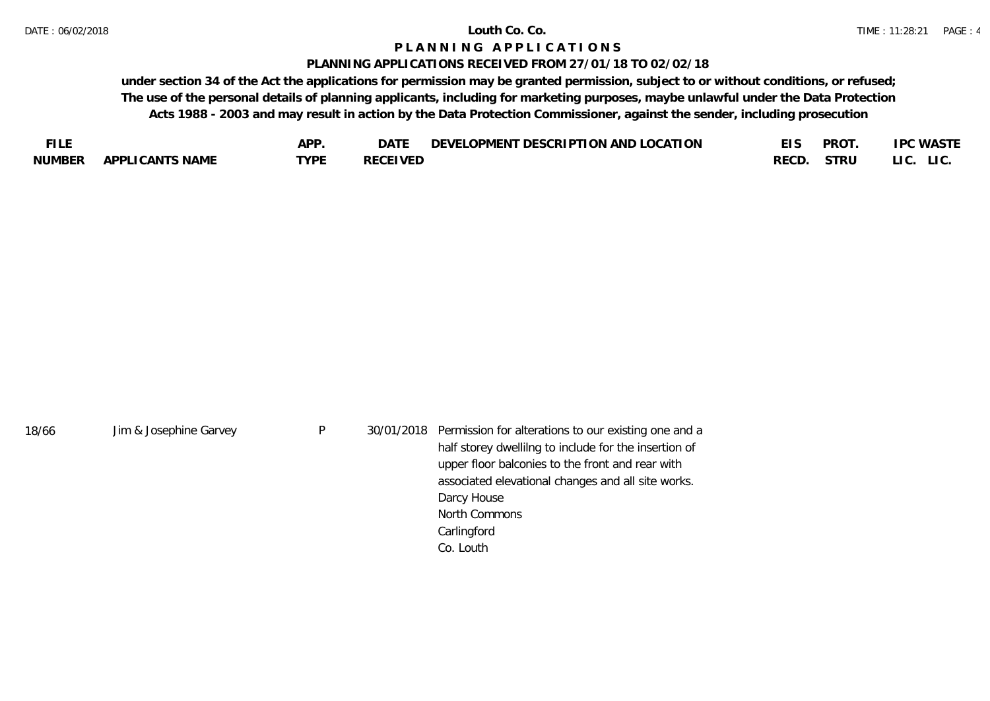#### **PLANNING APPLICATIONS RECEIVED FROM 27/01/18 TO 02/02/18**

| FU F          |                        | ADD.             | DAT)           | TON AND LOCATION<br><b>DESCRIPTI</b><br>LOPMENT<br><b>DEVEI</b> |      | <b>PROT</b> | .PC WASTE     |
|---------------|------------------------|------------------|----------------|-----------------------------------------------------------------|------|-------------|---------------|
| <b>NUMBER</b> | <b>APPLICANTS NAME</b> | TVDE<br><u>_</u> | RECEIVED<br>ᅛᄂ |                                                                 | RECD | STRU        | LIC.<br>LI C. |

| 18/66 | Jim & Josephine Garvey | P | 30/01/2018 Permission for alterations to our existing one and a |
|-------|------------------------|---|-----------------------------------------------------------------|
|       |                        |   | half storey dwellilng to include for the insertion of           |
|       |                        |   | upper floor balconies to the front and rear with                |
|       |                        |   | associated elevational changes and all site works.              |
|       |                        |   | Darcy House                                                     |
|       |                        |   | North Commons                                                   |
|       |                        |   | Carlingford                                                     |
|       |                        |   | Co. Louth                                                       |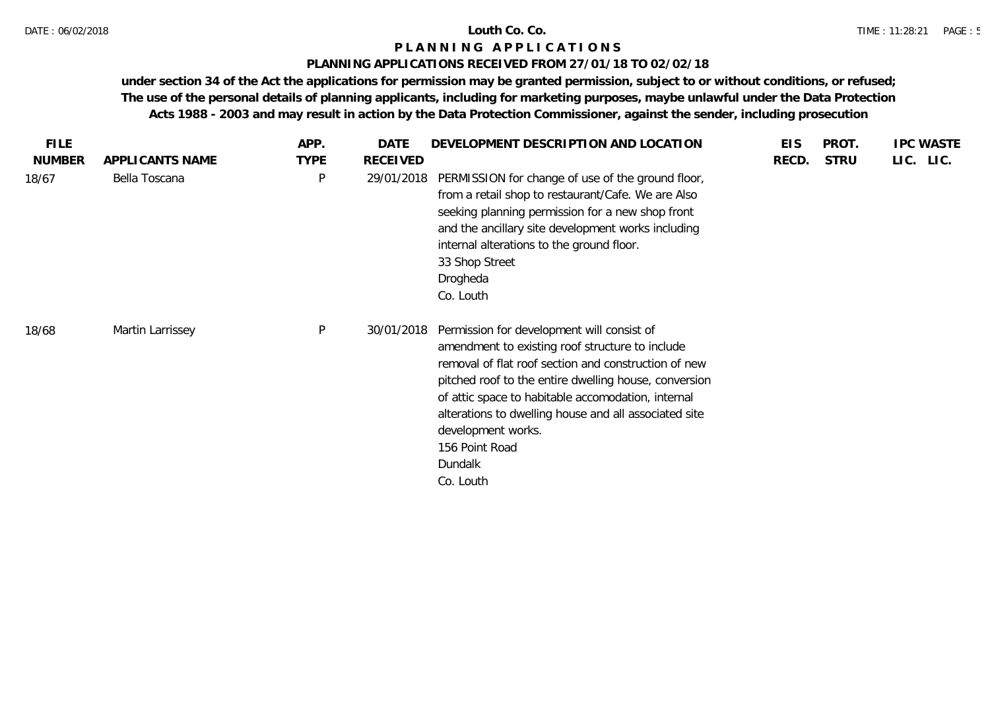### **PLANNING APPLICATIONS RECEIVED FROM 27/01/18 TO 02/02/18**

| <b>FILE</b>   |                  | APP.         | DATE            | DEVELOPMENT DESCRIPTION AND LOCATION                                                                                                                                                                                                                                                                                                                                                          | <b>EIS</b> | PROT.       | <b>IPC WASTE</b> |
|---------------|------------------|--------------|-----------------|-----------------------------------------------------------------------------------------------------------------------------------------------------------------------------------------------------------------------------------------------------------------------------------------------------------------------------------------------------------------------------------------------|------------|-------------|------------------|
| <b>NUMBER</b> | APPLICANTS NAME  | <b>TYPE</b>  | <b>RECEIVED</b> |                                                                                                                                                                                                                                                                                                                                                                                               | RECD.      | <b>STRU</b> | LIC. LIC.        |
| 18/67         | Bella Toscana    | P            | 29/01/2018      | PERMISSION for change of use of the ground floor,<br>from a retail shop to restaurant/Cafe. We are Also<br>seeking planning permission for a new shop front<br>and the ancillary site development works including<br>internal alterations to the ground floor.<br>33 Shop Street<br>Drogheda<br>Co. Louth                                                                                     |            |             |                  |
| 18/68         | Martin Larrissey | $\mathsf{P}$ | 30/01/2018      | Permission for development will consist of<br>amendment to existing roof structure to include<br>removal of flat roof section and construction of new<br>pitched roof to the entire dwelling house, conversion<br>of attic space to habitable accomodation, internal<br>alterations to dwelling house and all associated site<br>development works.<br>156 Point Road<br>Dundalk<br>Co. Louth |            |             |                  |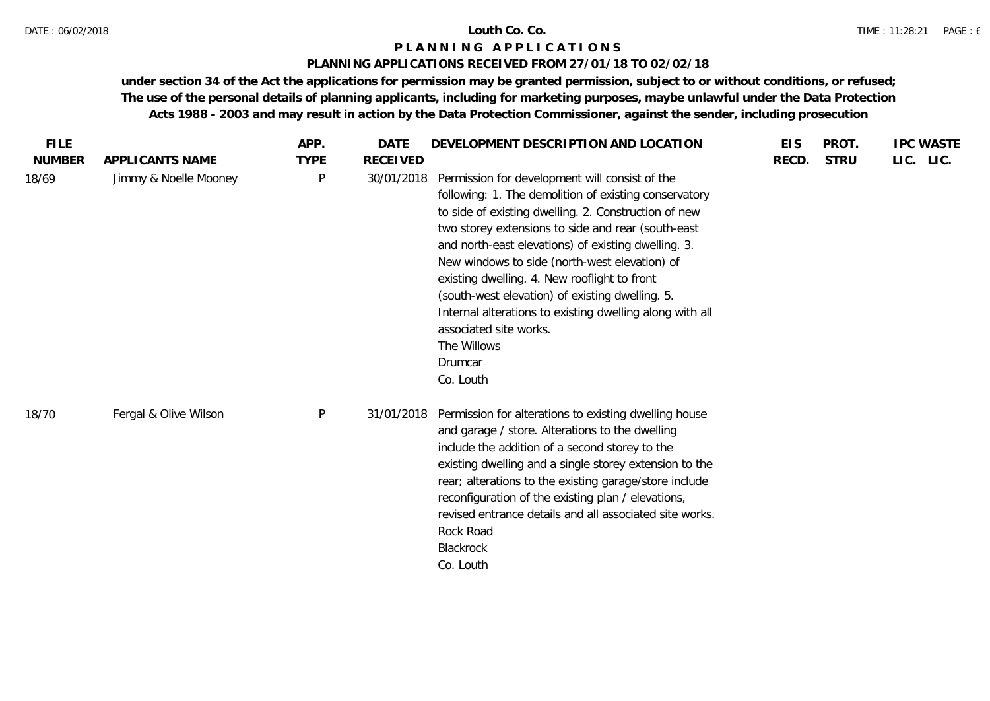### **PLANNING APPLICATIONS RECEIVED FROM 27/01/18 TO 02/02/18**

| <b>FILE</b>   |                       | APP.        | <b>DATE</b>     | DEVELOPMENT DESCRIPTION AND LOCATION                                                                                                                                                                                                                                                                                                                                                                                                                                                                                                                          | <b>EIS</b> | PROT.       | <b>IPC WASTE</b> |
|---------------|-----------------------|-------------|-----------------|---------------------------------------------------------------------------------------------------------------------------------------------------------------------------------------------------------------------------------------------------------------------------------------------------------------------------------------------------------------------------------------------------------------------------------------------------------------------------------------------------------------------------------------------------------------|------------|-------------|------------------|
| <b>NUMBER</b> | APPLICANTS NAME       | <b>TYPE</b> | <b>RECEIVED</b> |                                                                                                                                                                                                                                                                                                                                                                                                                                                                                                                                                               | RECD.      | <b>STRU</b> | LIC. LIC.        |
| 18/69         | Jimmy & Noelle Mooney | P           | 30/01/2018      | Permission for development will consist of the<br>following: 1. The demolition of existing conservatory<br>to side of existing dwelling. 2. Construction of new<br>two storey extensions to side and rear (south-east<br>and north-east elevations) of existing dwelling. 3.<br>New windows to side (north-west elevation) of<br>existing dwelling. 4. New rooflight to front<br>(south-west elevation) of existing dwelling. 5.<br>Internal alterations to existing dwelling along with all<br>associated site works.<br>The Willows<br>Drumcar<br>Co. Louth |            |             |                  |
| 18/70         | Fergal & Olive Wilson | P           | 31/01/2018      | Permission for alterations to existing dwelling house<br>and garage / store. Alterations to the dwelling<br>include the addition of a second storey to the<br>existing dwelling and a single storey extension to the<br>rear; alterations to the existing garage/store include<br>reconfiguration of the existing plan / elevations,<br>revised entrance details and all associated site works.<br>Rock Road<br>Blackrock<br>Co. Louth                                                                                                                        |            |             |                  |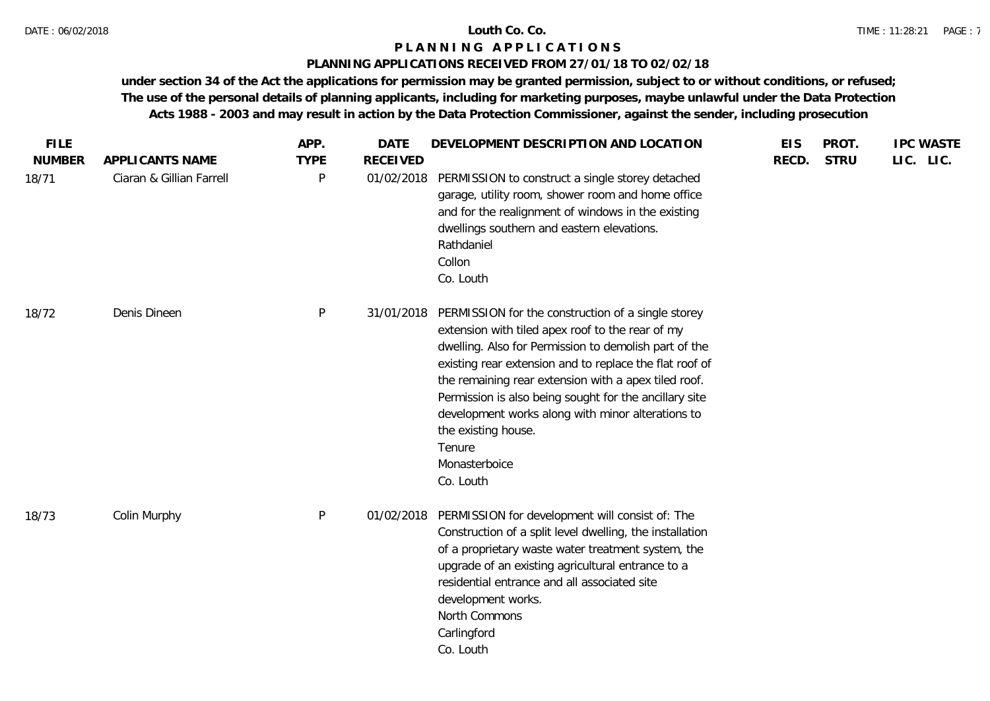### **PLANNING APPLICATIONS RECEIVED FROM 27/01/18 TO 02/02/18**

| Ciaran & Gillian Farrell<br>P<br>01/02/2018<br>PERMISSION to construct a single storey detached<br>garage, utility room, shower room and home office<br>and for the realignment of windows in the existing<br>dwellings southern and eastern elevations.<br>Rathdaniel<br>Collon<br>Co. Louth<br>Denis Dineen<br>P<br>PERMISSION for the construction of a single storey<br>31/01/2018<br>extension with tiled apex roof to the rear of my<br>dwelling. Also for Permission to demolish part of the<br>existing rear extension and to replace the flat roof of<br>the remaining rear extension with a apex tiled roof.<br>Permission is also being sought for the ancillary site<br>development works along with minor alterations to<br>the existing house.<br>Tenure<br>Monasterboice<br>Co. Louth<br>P<br>PERMISSION for development will consist of: The<br>Colin Murphy<br>01/02/2018<br>Construction of a split level dwelling, the installation<br>of a proprietary waste water treatment system, the<br>upgrade of an existing agricultural entrance to a<br>residential entrance and all associated site<br>development works.<br>North Commons<br>Carlingford<br>Co. Louth | <b>FILE</b>            |                 | APP.        | <b>DATE</b>     | DEVELOPMENT DESCRIPTION AND LOCATION | <b>EIS</b> | PROT.       | <b>IPC WASTE</b> |
|--------------------------------------------------------------------------------------------------------------------------------------------------------------------------------------------------------------------------------------------------------------------------------------------------------------------------------------------------------------------------------------------------------------------------------------------------------------------------------------------------------------------------------------------------------------------------------------------------------------------------------------------------------------------------------------------------------------------------------------------------------------------------------------------------------------------------------------------------------------------------------------------------------------------------------------------------------------------------------------------------------------------------------------------------------------------------------------------------------------------------------------------------------------------------------------|------------------------|-----------------|-------------|-----------------|--------------------------------------|------------|-------------|------------------|
|                                                                                                                                                                                                                                                                                                                                                                                                                                                                                                                                                                                                                                                                                                                                                                                                                                                                                                                                                                                                                                                                                                                                                                                      | <b>NUMBER</b><br>18/71 | APPLICANTS NAME | <b>TYPE</b> | <b>RECEIVED</b> |                                      | RECD.      | <b>STRU</b> | LIC. LIC.        |
|                                                                                                                                                                                                                                                                                                                                                                                                                                                                                                                                                                                                                                                                                                                                                                                                                                                                                                                                                                                                                                                                                                                                                                                      | 18/72                  |                 |             |                 |                                      |            |             |                  |
|                                                                                                                                                                                                                                                                                                                                                                                                                                                                                                                                                                                                                                                                                                                                                                                                                                                                                                                                                                                                                                                                                                                                                                                      | 18/73                  |                 |             |                 |                                      |            |             |                  |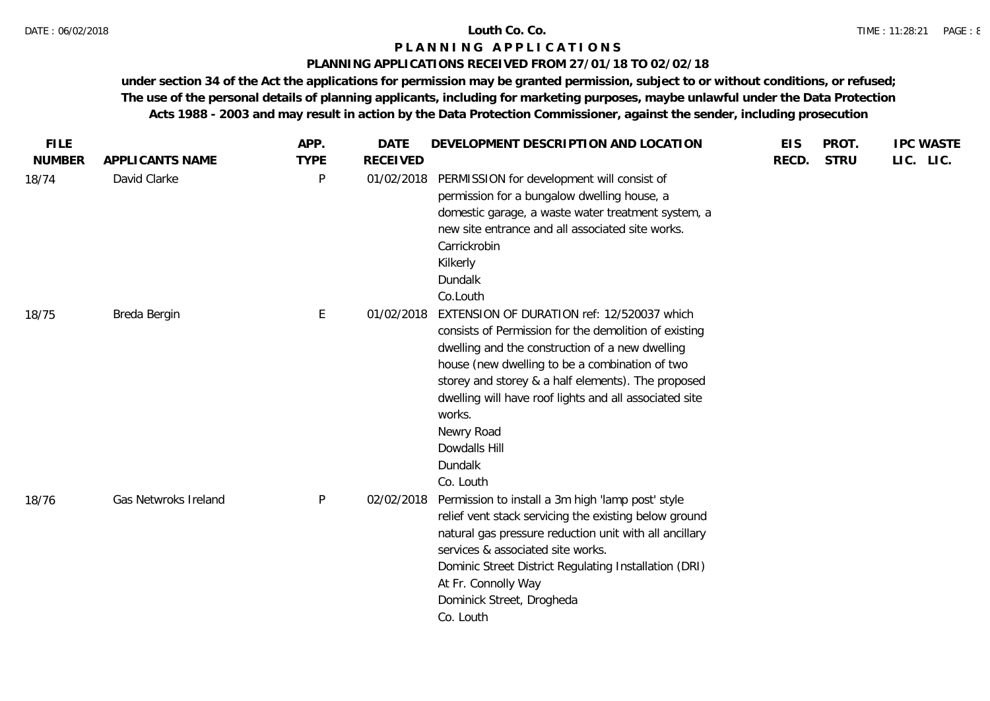### **PLANNING APPLICATIONS RECEIVED FROM 27/01/18 TO 02/02/18**

| <b>FILE</b>   |                      | APP.        | <b>DATE</b>     | DEVELOPMENT DESCRIPTION AND LOCATION                                                                                                                                                                                                                                                                                                                                                      | <b>EIS</b> | PROT.       | <b>IPC WASTE</b> |
|---------------|----------------------|-------------|-----------------|-------------------------------------------------------------------------------------------------------------------------------------------------------------------------------------------------------------------------------------------------------------------------------------------------------------------------------------------------------------------------------------------|------------|-------------|------------------|
| <b>NUMBER</b> | APPLICANTS NAME      | <b>TYPE</b> | <b>RECEIVED</b> |                                                                                                                                                                                                                                                                                                                                                                                           | RECD.      | <b>STRU</b> | LIC. LIC.        |
| 18/74         | David Clarke         | P           | 01/02/2018      | PERMISSION for development will consist of<br>permission for a bungalow dwelling house, a<br>domestic garage, a waste water treatment system, a<br>new site entrance and all associated site works.<br>Carrickrobin<br>Kilkerly<br>Dundalk<br>Co.Louth                                                                                                                                    |            |             |                  |
| 18/75         | Breda Bergin         | E           | 01/02/2018      | EXTENSION OF DURATION ref: 12/520037 which<br>consists of Permission for the demolition of existing<br>dwelling and the construction of a new dwelling<br>house (new dwelling to be a combination of two<br>storey and storey & a half elements). The proposed<br>dwelling will have roof lights and all associated site<br>works.<br>Newry Road<br>Dowdalls Hill<br>Dundalk<br>Co. Louth |            |             |                  |
| 18/76         | Gas Netwroks Ireland | P           | 02/02/2018      | Permission to install a 3m high 'lamp post' style<br>relief vent stack servicing the existing below ground<br>natural gas pressure reduction unit with all ancillary<br>services & associated site works.<br>Dominic Street District Regulating Installation (DRI)<br>At Fr. Connolly Way<br>Dominick Street, Drogheda<br>Co. Louth                                                       |            |             |                  |